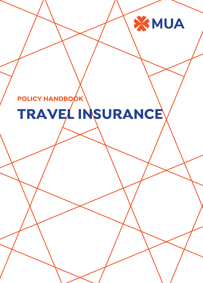# **POLICY HANDBOOK TRAVEL INSURANCE**

XMUA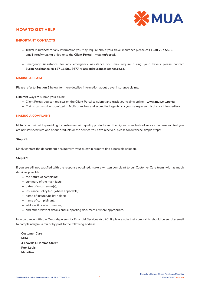

# **HOW TO GET HELP**

# **IMPORTANT CONTACTS**

- **Travel Insurance**: for any Information you may require about your travel insurance please call **+230 207 5500**, email **info@mua.mu** or log onto the **Client Portal – mua.mu/portal**.
- Emergency Assistance: for any emergency assistance you may require during your travels please contact **Europ Assistance** on **+27 11 991 8677** or **assist@europassistance.co.za**.

#### **MAKING A CLAIM**

Please refer to **Section 5** below for more detailed information about travel insurance claims.

Different ways to submit your claim:

- Client Portal: you can register on the Client Portal to submit and track your claims online **www.mua.mu/portal**
- Claims can also be submitted in MUA branches and accredited agents, via your salesperson, broker or intermediary.

#### **MAKING A COMPLAINT**

MUA is committed to providing its customers with quality products and the highest standards of service. In case you feel you are not satisfied with one of our products or the service you have received, please follow these simple steps:

#### **Step #1:**

Kindly contact the department dealing with your query in order to find a possible solution.

#### **Step #2:**

If you are still not satisfied with the response obtained, make a written complaint to our Customer Care team, with as much detail as possible:

- the nature of complaint;
- summary of the main facts;
- dates of occurrence/(s);
- Insurance Policy No. (where applicable);
- name of Insured/policy holder;
- name of complainant;
- address & contact number;
- and other relevant details and supporting documents, where appropriate.

In accordance with the Ombudsperson for Financial Services Act 2018, please note that complaints should be sent by email to complaints@mua.mu or by post to the following address:

**Customer Care MUA 4 Léoville L'Homme Street Port Louis Mauritius**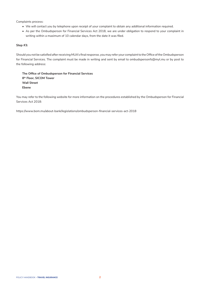Complaints process:

- We will contact you by telephone upon receipt of your complaint to obtain any additional information required.
- As per the Ombudsperson for Financial Services Act 2018, we are under obligation to respond to your complaint in writing within a maximum of 10 calendar days, from the date it was filed.

# **Step #3:**

Should you not be satisfied after receiving MUA's final response, you may refer your complaint to the Office of the Ombudsperson for Financial Services. The complaint must be made in writing and sent by email to ombudspersonfs@myt.mu or by post to the following address:

**The Office of Ombudsperson for Financial Services 8th Floor, SICOM Tower Wall Street Ebene**

You may refer to the following website for more information on the procedures established by the Ombudsperson for Financial Services Act 2018:

https://www.bom.mu/about-bank/legislations/ombudsperson-financial-services-act-2018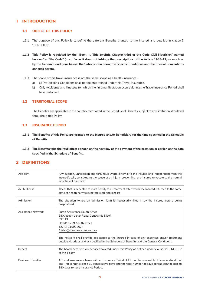# **1 INTRODUCTION**

# **1.1 OBJECT OF THIS POLICY**

- 1.1.1 The purpose of this Policy is to define the different Benefits granted to the Insured and detailed in clause 3 "BENEFITS".
- **1.1.2 This Policy is regulated by the "Book III, Title twelfth, Chapter third of the Code Civil Mauricien" named hereinafter "the Code" (in so far as it does not infringe the prescriptions of the Article 1983-12, as much as by the General Conditions below, the Subscription Form, the Specific Conditions and the Special Conventions annexed hereto.**
- 1.1.3 The scope of this travel insurance is not the same scope as a health insurance
	- a) all Pre-existing Conditions shall not be entertained under this Travel Insurance.
	- b) Only Accidents and Illnesses for which the first manifestation occurs during the Travel Insurance Period shall be entertained.

## **1.2 TERRITORIAL SCOPE**

The Benefits are applicable in the country mentioned in the Schedule of Benefits subject to any limitation stipulated throughout this Policy.

# **1.3 INSURANCE PERIOD**

- **1.3.1 The Benefits of this Policy are granted to the Insured and/or Beneficiary for the time specified in the Schedule of Benefits.**
- **1.3.2 The Benefits take their full effect at noon on the next day of the payment of the premium or earlier, on the date specified in the Schedule of Benefits.**

# **2 DEFINITIONS**

| Accident                  | Any sudden, unforeseen and fortuitous Event, external to the Insured and independent from the<br>Insured's will, constituting the cause of an injury preventing the Insured to vacate to the normal<br>activities of daily life;                                                                                                                                           |
|---------------------------|----------------------------------------------------------------------------------------------------------------------------------------------------------------------------------------------------------------------------------------------------------------------------------------------------------------------------------------------------------------------------|
| <b>Acute Illness</b>      | Illness that is expected to react hastily to a Treatment after which the Insured returned to the same<br>state of health he was in before suffering Illness;                                                                                                                                                                                                               |
| Admission                 | The situation where an admission form is necessarily filled in by the Insured before being<br>hospitalised;                                                                                                                                                                                                                                                                |
| Assistance Network        | Europ Assistance South Africa<br>680 Joseph Lister Road, Constantia Kloof<br><b>FXT 13</b><br>Florida 1709, South Africa<br>+27(0) 119918677<br>Assist@europassistance.co.za<br>The network shall provide assistance to the Insured in case of any expenses and/or Treatment<br>outside Mauritius and as specified in the Schedule of Benefits and the General Conditions; |
| Benefit                   | The health care items or services covered under this Policy as defined under clause 3 "BENEFITS"<br>of this Policy;                                                                                                                                                                                                                                                        |
| <b>Business Traveller</b> | A Travel insurance scheme with an Insurance Period of 12 months renewable. It is understood that<br>one Trip cannot exceed 30 consecutive days and the total number of days abroad cannot exceed<br>180 days for one Insurance Period.                                                                                                                                     |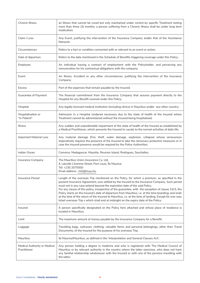| <b>Chronic Illness</b>                       | an Illness that cannot be cured but only maintained under control by specific Treatment lasting<br>more than three (3) months; a person suffering from a Chronic Illness shall be under long term<br>medication;                                                                                                                                                                                                                                                                                                                                                                                                                                                                                |
|----------------------------------------------|-------------------------------------------------------------------------------------------------------------------------------------------------------------------------------------------------------------------------------------------------------------------------------------------------------------------------------------------------------------------------------------------------------------------------------------------------------------------------------------------------------------------------------------------------------------------------------------------------------------------------------------------------------------------------------------------------|
| Claim / Loss                                 | Any Event, justifying the intervention of the Insurance Company and/or that of the Assistance<br>Network;                                                                                                                                                                                                                                                                                                                                                                                                                                                                                                                                                                                       |
| Circumstances                                | Refers to a fact or condition connected with or relevant to an event or action;                                                                                                                                                                                                                                                                                                                                                                                                                                                                                                                                                                                                                 |
| Date of departure                            | Refers to the date mentioned in the Schedule of Benefits triggering coverage under this Policy;                                                                                                                                                                                                                                                                                                                                                                                                                                                                                                                                                                                                 |
| Employee                                     | An individual having a contract of employment with the Policyholder, and perceiving any<br>remuneration for his contractual obligations with the company;                                                                                                                                                                                                                                                                                                                                                                                                                                                                                                                                       |
| Event                                        | An Illness, Accident or any other circumstances, justifying the intervention of the Insurance<br>Company;                                                                                                                                                                                                                                                                                                                                                                                                                                                                                                                                                                                       |
| <b>Excess</b>                                | Part of the expenses that remain payable by the Insured;                                                                                                                                                                                                                                                                                                                                                                                                                                                                                                                                                                                                                                        |
| Guarantee of Payment                         | The financial commitment from the Insurance Company that assures payment directly to the<br>Hospital for any Benefit covered under this Policy;                                                                                                                                                                                                                                                                                                                                                                                                                                                                                                                                                 |
| Hospital                                     | Any legally licensed medical institution (including clinics) in Mauritius and/or any other country;                                                                                                                                                                                                                                                                                                                                                                                                                                                                                                                                                                                             |
| Hospitalisation or<br>"In Patient"           | Admission in a Hospital rendered necessary due to the state of health of the Insured where<br>Treatment cannot be administered without the Insured being hospitalised;                                                                                                                                                                                                                                                                                                                                                                                                                                                                                                                          |
| <b>Illness</b>                               | Any sudden and unpredictable impairment of the state of health of the Insured as established by<br>a Medical Practitioner, which prevents the Insured to vacate to the normal activities of daily life;                                                                                                                                                                                                                                                                                                                                                                                                                                                                                         |
| <b>Important Material Loss</b>               | Any material damage (Fire, theft, water damage, explosion, collapse) whose seriousness<br>imperatively requires the presence of the Insured to take the necessary protective measures or in<br>case the Insured presence would be required by the Police Authorities;                                                                                                                                                                                                                                                                                                                                                                                                                           |
| Indian Ocean                                 | Comoros, Madagascar, Mayotte, Reunion Island, Rodrigues, Seychelles;                                                                                                                                                                                                                                                                                                                                                                                                                                                                                                                                                                                                                            |
| Insurance Company                            | The Mauritius Union Assurance Cy. Ltd.<br>4, Léoville L'homme Street, Port Louis, Île Maurice.<br>Tél: +230 2075500<br>Email address : info@mua.mu                                                                                                                                                                                                                                                                                                                                                                                                                                                                                                                                              |
| Insurance Period                             | Length of the overseas Trip mentioned on the Policy, for which a premium, as specified in the<br>present Insurance Agreement, was settled by the Insured to the Insurance Company. Such period<br>must not in any case extend beyond the expiration date of the said Policy.<br>For any clause of this policy, irrespective of the guarantee, with the exception of clause 3.6.5, the<br>Policy starts on the Insured's date of departure from Mauritius, i.e. at the time boarding; and ends<br>at the time of the return of the Insured to Mauritius, i.e. at the time of landing. Except for one-way<br>ticket overseas Trip s which shall end at midnight on the expiry date of the Policy; |
| Insured                                      | A person specifically designated on the Policy here attached and whose place of residence is<br>located in Mauritius:                                                                                                                                                                                                                                                                                                                                                                                                                                                                                                                                                                           |
| Limit                                        | The maximum amount of money payable by the Insurance Company for a Benefit;                                                                                                                                                                                                                                                                                                                                                                                                                                                                                                                                                                                                                     |
| Luggage                                      | Travelling bags, suitcases, clothing, valuable Items and personal belongings, other than Travel<br>Documents, of the Insured for the purpose of his overseas Trip;                                                                                                                                                                                                                                                                                                                                                                                                                                                                                                                              |
| Mauritius                                    | Ile Maurice/Mauritius, as defined in the 'Interpretation and General Clauses Act';                                                                                                                                                                                                                                                                                                                                                                                                                                                                                                                                                                                                              |
| Medical Authority or Medical<br>Practitioner | Any person holding a degree in medicine and who is registered with The Medical Council of<br>Mauritius or by relevant authority in the country where the latter exercises, who does not have<br>any familial relationship whatsoever with the Insured or with one of the persons travelling with<br>the latter;                                                                                                                                                                                                                                                                                                                                                                                 |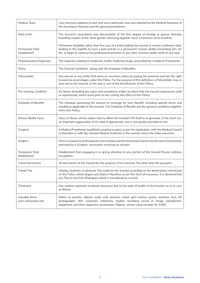| <b>Medical Team</b>                          | Care structure adapted to each and every particular case and selected by the Medical Examiner of<br>the Assistance Network and the general practitioner;                                                                                                                                                          |
|----------------------------------------------|-------------------------------------------------------------------------------------------------------------------------------------------------------------------------------------------------------------------------------------------------------------------------------------------------------------------|
| Next of Kin                                  | The Insured's ascendants and descendants of the first degree of kinship or spouse (thereby<br>including couples of the same gender and living together since a minimum of six months);                                                                                                                            |
| <b>Permanent Total</b><br><b>Disablement</b> | Permanent disability (other than the Loss of a limb) leading the Insured to remain confined in bed,<br>leading to the inability to have a paid activity in a permanent manner and/or preventing him, for<br>life, to begin or continue his professional activities or any other function and/or work of any type; |
| <b>Pharmaceutical Expenses</b>               | The expenses relating to medicines and/or medicinal drugs, prescribed by a Medical Practitioner;                                                                                                                                                                                                                  |
| Policy                                       | The General Conditions along with the Schedule of Benefits;                                                                                                                                                                                                                                                       |
| Policyholder                                 | Any person or any entity that owns an insurance policy by paying the premium and has the right<br>to exercise all privileges under this Policy. For the purpose of this definition, a Policyholder may or<br>may not be the Insured, or the sole or one of the beneficiaries of this Policy;                      |
| Pre-existing Condition                       | An Illness (including any signs and symptoms) and/or Accident that the Insured experiences and/<br>or experienced, which arose prior to the coming into effect of this Policy;                                                                                                                                    |
| <b>Schedule of Benefits</b>                  | The schedule specifying the amount of coverage for each Benefit, including specific terms and<br>conditions applicable to the Insured. The Schedule of Benefit and the general conditions together<br>forms this Policy;                                                                                          |
| Serious Bodily Injury                        | Injury or Illness whose nature risks to affect the Insured's life itself or to generate, in the short run,<br>an important aggravation of his state if appropriate care is not quickly provided to him;                                                                                                           |
| Surgeon                                      | A Medical Practitioner qualified to practise surgery as per the registration with the Medical Council<br>in Mauritius or with the relevant Medical Authority in the country where the latter exercises;                                                                                                           |
| Surgery                                      | One or a sequence of therapeutic interventions performed by bare hand or by the use of instruments<br>executed by a Surgeon, necessarily involving an incision;                                                                                                                                                   |
| <b>Temporary Total</b><br>disablement        | Disablement from engaging in or giving attention to any portion of the Insured Person ordinary<br>occupation;                                                                                                                                                                                                     |
| <b>Travel Documents</b>                      | All documents of the Insured for the purpose of his overseas Trip other than the passport;                                                                                                                                                                                                                        |
| Travel/Trip                                  | Holiday, business or pleasure Trip made by the Insured according to the destinations mentioned<br>on the Policy, which begins and ends in Mauritius as per the Term of Insurance. It is declared that<br>any Trip to and from Rodrigues Island is considered as a travel;                                         |
| Treatment                                    | Any medical expenses rendered necessary due to the state of health of the Insured, so as to cure<br>an Illness;                                                                                                                                                                                                   |
| Valuable Items<br>(non-exhaustive list)      | Refers to jewelry, objects made with precious metal, gem stones, pearls, watches, furs. All<br>photographic, film, computer, telephone, mobile, recording sound or image reproduction<br>equipment, and their respective accessories. Objects, whose value exceeds Rs 3,000.                                      |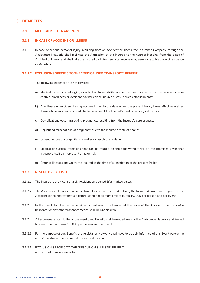# **3 BENEFITS**

# **3.1 MEDICALISED TRANSPORT**

#### **3.1.1 IN CASE OF ACCIDENT OR ILLNESS**

3.1.1.1 In case of serious personal injury, resulting from an Accident or Illness, the Insurance Company, through the Assistance Network, shall facilitate the Admission of the Insured to the nearest Hospital from the place of Accident or Illness, and shall take the Insured back, for free, after recovery, by aeroplane to his place of residence in Mauritius.

#### **3.1.1.2 EXCLUSIONS SPECIFIC TO THE "MEDICALISED TRANSPORT" BENEFIT**

The following expenses are not covered:

- a) Medical transports belonging or attached to rehabilitation centres, rest homes or hydro-therapeutic cure centres, any Illness or Accident having led the Insured's stay in such establishments;
- b) Any Illness or Accident having occurred prior to the date when the present Policy takes effect as well as those whose incidence is predictable because of the Insured's medical or surgical history;
- c) Complications occurring during pregnancy, resulting from the Insured's carelessness.
- d) Unjustified terminations of pregnancy due to the Insured's state of health;
- e) Consequences of congenital anomalies or psychic retardation;
- f) Medical or surgical affections that can be treated on the spot without risk on the premises given that transport itself can represent a major risk;
- g) Chronic Illnesses known by the Insured at the time of subscription of the present Policy.

#### **3.1.2 RESCUE ON SKI PISTE**

- 3.1.2.1 The Insured is the victim of a ski Accident on opened &/or marked pistes.
- 3.1.2.2 The Assistance Network shall undertake all expenses incurred to bring the Insured down from the place of the Accident to the nearest first aid centre, up to a maximum limit of Euros 10, 000 per person and per Event.
- 3.1.2.3 In the Event that the rescue services cannot reach the Insured at the place of the Accident, the costs of a helicopter or any other transport means shall be undertaken.
- 3.1.2.4 All expenses related to the above mentioned Benefit shall be undertaken by the Assistance Network and limited to a maximum of Euros 10, 000 per person and per Event.
- 3.1.2.5 For the purpose of this Benefit, the Assistance Network shall have to be duly informed of this Event before the end of the stay of the Insured at the same ski station.
- 3.1.2.6 EXCLUSION SPECIFIC TO THE "RESCUE ON SKI PISTE" BENEFIT
	- Competitions are excluded.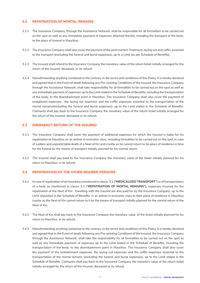# **3.2 REPATRIATION OF MORTAL REMAINS**

- 3.2.1 The Insurance Company, through the Assistance Network, shall be responsible for all formalities to be carried out on the spot as well as any immediate payment of expenses attached thereto, including the transport of the body, to the place of funeral in Mauritius.
- 3.2.2 The Insurance Company shall also cover the payment of the post mortem Treatment, laying out and coffin, essential to the transport (excluding the funeral and burial expenses), up to a Limit (as per Schedule of Benefits).
- 3.2.3 The Insured shall refund to the Insurance Company the monetary value of the return ticket initially arranged for the return of the Insured, deceased, or its refund.
- 3.2.4 Notwithstanding anything contained to the contrary in the terms and conditions of this Policy, it is hereby declared and agreed that in the Event of death following any Pre-existing Conditions of the Insured, the Insurance Company through the Assistance Network, shall take responsibility for all formalities to be carried out on the spot as well as any immediate payment of expenses up to the Limit stated in the Schedule of Benefits, including the transportation of the body, to the disembarkment point in Mauritius. The Insurance Company shall also cover the payment of embalment expenses , the laying out expenses and the coffin expenses essential to the transportation of the mortal remains(excluding the funeral and burial expenses), up to the Limit stated in the Schedule of Benefits. Claimants shall pay back to the Insurance Company the monetary value of the return ticket initially arranged for the return of the Insured, deceased or its refund.

# **3.3 EMERGENCY RETURN OF THE INSURED**

- 3.3.1 The Insurance Company shall cover the payment of additional expenses for which the Insured is liable for his repatriation to Mauritius on an airliner in economic class, including formalities to be carried out on the spot, in case of sudden and unpredictable death of a Next of Kin and insofar as he cannot return to his place of residence in time for the funeral by the means of transport initially planned for his normal return.
- 3.3.2 The Insured shall pay back to the Insurance Company the monetary value of the ticket initially planned for his return to Mauritius, or its refund.

# **3.4 REPATRIATION OF THE OTHER INSURED PERSONS**

- 3.4.1 In case of repatriation of an Insured as mentioned in clause 3.1 (**"MEDICALISED TRANSPORT"**) or of transportation of a body as mentioned in clause 3.2 (**"REPATRIATION OF MORTAL REMAINS")**, expenses incurred for the repatriation of the Next of Kin travelling with the Insured are also paid for by the Insurance Company, up to the Limit stipulated in the Schedule of Benefits, in an airliner in economic class to their place of residence in Mauritius insofar as the Next of Kin cannot return to it by the means of transport initially planned for the normal return of the Next of Kin.
- 3.4.2 The Next of Kin shall pay back to the Insurance Company the monetary value of the ticket initially planned for his return to Mauritius, or its refund.
- 3.4.3 Notwithstanding anything contained to the contrary in the terms and conditions of this Policy, it is hereby declared and agreed that in the Event of death following any Pre-existing Conditions of the Insured, the Insurance Company through the Assistance Network, shall take the responsibility for all formalities to be carried out on the spot as well as any immediate payment of expenses up to the Limit stated in the Schedule of Benefits, including the transportation of the body, to the disembarkment point in Mauritius. The Insurance Company shall also cover the payment of the embalmment expenses, the laying out expenses and the coffin expenses essential to the transportation of the mortal remains (excluding the funeral and burial expenses), up to the Limit stated in the Schedule of Benefits. Claimants shall pay back to the Insurance Company the monetary value of the return ticket initially arranged for the return of the Insured, deceased or its refund.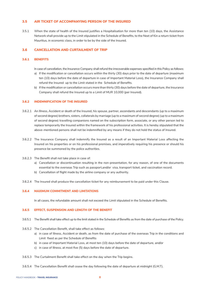# **3.5 AIR TICKET OF ACCOMPANYING PERSON OF THE INSURED**

3.5.1 When the state of health of the Insured justifies a Hospitalisation for more than ten (10) days, the Assistance Network shall provide up to the Limit stipulated in the Schedule of Benefits, to the Next of Kin a return ticket from Mauritius, in economic class, in order to be by the side of the Insured.

## **3.6 CANCELLATION AND CURTAILMENT OF TRIP**

#### **3.6.1 BENEFITS**

In case of cancellation, the Insurance Company shall refund the irrecoverable expenses specified in this Policy as follows:

- a) If the modification or cancellation occurs within the thirty (30) days prior to the date of departure (maximum ten (10) days before the date of departure in case of Important Material Loss), the Insurance Company shall refund the Insured up to the Limit stated in the Schedule of Benefits.
- b) If the modification or cancellation occurs more than thirty (30) days before the date of departure, the Insurance Company shall refund the Insured up to a Limit of MUR 10,000 (per Insured).

#### **3.6.2 INDEMNIFICATION OF THE INSURED**

- 3.6.2.1 An Illness, Accident or death of the Insured, his spouse, partner, ascendants and descendants (up to a maximum of second degree) brothers, sisters, collaterals by marriage (up to a maximum of second degree) (up to a maximum of second degree) travelling companions named on the subscription form, associate, or any other person led to replace temporarily the Insured within the framework of his professional activities. It is hereby stipulated that the above-mentioned persons shall not be indemnified by any means if they do not hold the status of Insured.
- 3.6.2.2 The Insurance Company shall indemnify the Insured as a result of an Important Material Loss affecting the Insured on his properties or on his professional premises, and imperatively requiring his presence or should his presence be summoned by the police authorities.
- 3.6.2.3 The Benefit shall not take place in case of:
	- a) Cancellation or discontinuation resulting in the non-presentation, for any reason, of one of the documents essential to the overseas Trip such as passport,and/or visa, transport ticket, and vaccination record.
	- b) Cancellation of flight made by the airline company or any authority.
- 3.6.2.4 The Insured shall produce the cancellation ticket for any reimbursement to be paid under this Clause.

#### **3.6.4 MAXIMUM COMMITMENT AND LIMITATIONS**

In all cases, the refundable amount shall not exceed the Limit stipulated in the Schedule of Benefits.

#### **3.6.5 EFFECT, SUSPENSION AND LENGTH OF THE BENEFIT**

- 3.6.5.1 The Benefit shall take effect up to the limit stated in the Schedule of Benefits as from the date of purchase of the Policy.
- 3.6.5.2 The Cancellation Benefit, shall take effect as follows:
	- a) in case of Illness, Accident or death, as from the date of purchase of the overseas Trip in the conditions and Limit fixed as per the Schedule of Benefits
	- b) in case of Important Material Loss, at most ten (10) days before the date of departure, and/or
	- c) in case of Illness, at most five (5) days before the date of departure.
- 3.6.5.3 The Curtailment Benefit shall take effect on the day when the Trip begins.
- 3.6.5.4 The Cancellation Benefit shall cease the day following the date of departure at midnight (G.M.T).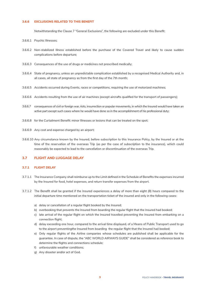#### **3.6.6 EXCLUSIONS RELATED TO THIS BENEFIT**

Notwithstanding the Clause 7 "General Exclusions", the following are excluded under this Benefit:

- 3.6.6.1 Psychic Illnesses;
- 3.6.6.2 Non-stabilized Illness established before the purchase of the Covered Travel and likely to cause sudden complications before departure;
- 3.6.6.3 Consequences of the use of drugs or medicines not prescribed medically;
- 3.6.6.4 State of pregnancy, unless an unpredictable complication established by a recognised Medical Authority and, in all cases, all state of pregnancy as from the first day of the 7th month;
- 3.6.6.5 Accidents occurred during Events, races or competitions, requiring the use of motorized machines;
- 3.6.6.6 Accidents resulting from the use of air machines (except aircrafts qualified for the transport of passengers);
- 3.6.6.7 consequences of civil or foreign war, riots, insurrection or popular movements, in which the Insured would have taken an active part except such cases where he would have done so in the accomplishment of his professional duty;
- 3.6.6.8 for the Curtailment Benefit: minor Illnesses or lesions that can be treated on the spot;
- 3.6.6.9 Any cost and expense charged by an airport;
- 3.6.6.10 Any circumstance known by the Insured, before subscription to this Insurance Policy, by the Insured or at the time of the reservation of the overseas Trip (as per the case of subscription to the insurance), which could reasonably be expected to lead to the cancellation or discontinuation of the overseas Trip.

# **3.7 FLIGHT AND LUGGAGE DELAY**

#### **3.7.1 FLIGHT DELAY**

- 3.7.1.1 The Insurance Company shall reimburse up to the Limit defined in the Schedule of Benefits the expenses incurred by the Insured for food, hotel expenses, and return transfer expenses from the airport.
- 3.7.1.2 The Benefit shall be granted if the Insured experiences a delay of more than eight (8) hours compared to the initial departure time mentioned on the transportation ticket of the insured and only in the following cases:
	- a) delay or cancellation of a regular flight booked by the Insured;
	- b) overbooking that prevents the Insured from boarding the regular flight that the Insured had booked;
	- c) late arrival of the regular flight on which the Insured travelled preventing the Insured from embarking on a connection flight;
	- d) delay exceeding one hour, compared to the arrival time displayed, of a Means of Public Transport used to go to the airport preventingthe Insured from boarding the regular flight that the Insured had booked;
	- e) Only regular flights of the Airline companies whose schedules are published shall be applicable for the guarantee. In case of dispute, the "ABC WORLD AIRWAYS GUIDE" shall be considered as reference book to determine the flights and connections schedule;
	- f) unfavourable weather conditions;
	- g) Any disaster and/or act of God.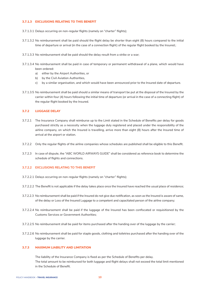#### **3.7.1.3 EXCLUSIONS RELATING TO THIS BENEFIT**

- 3.7.1.3.1 Delays occurring on non-regular flights (namely on "charter" flights);
- 3.7.1.3.2 No reimbursement shall be paid should the flight delay be shorter than eight (8) hours compared to the initial time of departure or arrival (in the case of a connection flight) of the regular flight booked by the Insured.;
- 3.7.1.3.3 No reimbursement shall be paid should the delay result from a strike or a war;
- 3.7.1.3.4 No reimbursement shall be paid in case of temporary or permanent withdrawal of a plane, which would have been ordered:
	- a) either by the Airport Authorities, or
	- b) by the Civil Aviation Authorities,
	- c) by a similar organisation, and which would have been announced prior to the Insured date of departure.
- 3.7.1.3.5 No reimbursement shall be paid should a similar means of transport be put at the disposal of the Insured by the carrier within four (4) hours following the initial time of departure (or arrival in the case of a connecting flight) of the regular flight booked by the Insured.

#### **3.7.2 LUGGAGE DELAY**

- 3.7.2.1 The Insurance Company shall reimburse up to the Limit stated in the Schedule of Benefits per delay for goods purchased strictly as a necessity when the luggage duly registered and placed under the responsibility of the airline company, on which the Insured is travelling, arrive more than eight (8) hours after the Insured time of arrival at the airport or station.
- 3.7.2.2 Only the regular flights of the airline companies whose schedules are published shall be eligible to this Benefit.
- 3.7.2.3 In case of dispute, the "ABC WORLD AIRWAYS GUIDE" shall be considered as reference book to determine the schedule of flights and connections.

#### **3.7.2.2 EXCLUSIONS RELATING TO THIS BENEFIT**

- 3.7.2.2.1 Delays occurring on non-regular flights (namely on "charter" flights);
- 3.7.2.2.2 The Benefit is not applicable if the delay takes place once the Insured have reached the usual place of residence;
- 3.7.2.2.3 No reimbursement shall be paid if the Insured do not give due notification, as soon as the Insured is aware of same, of the delay or Loss of the Insured Luggage to a competent and capacitated person of the airline company;
- 3.7.2.2.4 No reimbursement shall be paid if the luggage of the Insured has been confiscated or requisitioned by the Customs Services or Government Authorities;
- 3.7.2.2.5 No reimbursement shall be paid for items purchased after the handing over of the luggage by the carrier;
- 3.7.2.2.6 No reimbursement shall be paid for staple goods, clothing and toiletries purchased after the handing over of the luggage by the carrier.

#### **3.7.3 MAXIMUM LIABILITY AND LIMITATION**

The liability of the Insurance Company is fixed as per the Schedule of Benefits per delay. The total amount to be reimbursed for both luggage and flight delays shall not exceed the total limit mentioned in the Schedule of Benefit.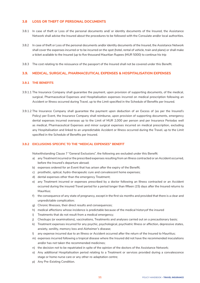# **3.8 LOSS OR THEFT OF PERSONAL DOCUMENTS**

- 3.8.1 In case of theft or Loss of the personal documents and/ or identity documents of the Insured, the Assistance Network shall advise the Insured about the procedures to be followed with the Consulate and/or local authorities.
- 3.8.2 In case of theft or Loss of the personal documents and/or identity documents of the Insured, the Assistance Network shall cover the expenses incurred or to be incurred on the spot (hotel, rental of vehicle, train and plane) or shall make a ticket available to the Insured (up to five thousand Mauritian Rupees (MUR 5000) to continue his trip
- 3.8.3 The cost relating to the reissuance of the passport of the Insured shall not be covered under this Benefit.

# **3.9. MEDICAL, SURGICAL, PHARMACEUTICAL EXPENSES & HOSPITALISATION EXPENSES**

#### **3.9.1 THE BENEFITS**

- 3.9.1.1 The Insurance Company shall guarantee the payment, upon provision of supporting documents, of the medical, surgical, Pharmaceutical Expenses and Hospitalisation expenses incurred on medical prescription following an Accident or Illness occurred during Travel, up to the Limit specified in the Schedule of Benefits per Insured.
- 3.9.1.2 The Insurance Company shall guarantee the payment upon deduction of an Excess of (as per the Insured's Policy) per Event, the Insurance Company shall reimburse, upon provision of supporting documents, emergency dental expenses incurred overseas up to the Limit of MUR 2,000 per person and per Insurance Periodas well as medical, Pharmaceutical Expenses and minor surgical expenses incurred on medical prescription, excluding any Hospitalisation and linked to an unpredictable Accident or Illness occurred during the Travel, up to the Limit specified in the Schedule of Benefits per Insured.

#### **3.9.2 EXCLUSIONS SPECIFIC TO THE "MEDICAL EXPENSES" BENEFIT**

Notwithstanding Clause 7 "General Exclusions", the following are excluded under this Benefit:

- a) any Treatment incurred or the prescribed expenses resulting from an Illness contracted or an Accident occurred, before the Insured's departure abroad;
- b) expenses ordered for an Event that has arisen after the expiry of the Benefit;
- c) prosthetic, optical, hydro-therapeutic cure and convalescent home expenses;
- d) dental expenses other than the emergency Treatment;
- e) any Treatment incurred or expenses prescribed by a doctor following an Illness contracted or an Accident occurred during the insured Travel period for a period longer than fifteen (15) days after the Insured returns to Mauritius;
- f) the consequence of any state of pregnancy, except in the first six months and provided that there is a clear and unpredictable complication;
- g) Chronic Illnesses, their direct results and consequences;
- h) medical affections whose incidence is predictable because of the medical historyof the insured
- i) Treatments that do not result from a medical emergency;
- j) Checkups (or examinations), vaccinations, Treatments and analyses carried out on a precautionary basis;
- k) Treatment expenses incurred for any psychic, psychological, psychiatric Illness or affection, depressive states, anxiety, senility, memory loss and Alzheimer's disease;
- l) any expense incurred due to an Illness or Accident occurred after the return of the Insured to Mauritius;
- m) expenses incurred following a tropical disease where the Insured did not have the recommended inoculations and/or has not taken the recommended medicines;
- n) the decision not to be repatriated in spite of the opinion of the doctors of the Assistance Network;
- o) Any additional Hospitalisation period relating to a Treatment or services provided during a convalescence stage or home nurse care or any other re-adaptation centre;
- p) Any Pre-Existing Condition.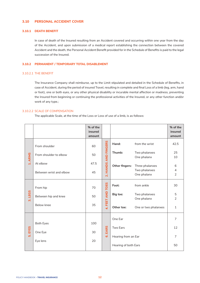#### **3.10 PERSONAL ACCIDENT COVER**

#### **3.10.1 DEATH BENEFIT**

 In case of death of the Insured resulting from an Accident covered and occurring within one year from the day of the Accident, and upon submission of a medical report establishing the connection between the covered Accident and the death, the Personal Accident Benefit provided for in the Schedule of Benefits is paid to the legal succession of the Insured.

#### **3.10.2 PERMANENT / TEMPORARY TOTAL DISABLEMENT**

#### 3.10.2.1 THE BENEFIT

The Insurance Company shall reimburse, up to the Limit stipulated and detailed in the Schedule of Benefits, in case of Accident, during the period of insured Travel, resulting in complete and final Loss of a limb (leg, arm, hand or foot), one or both eyes, or any other physical disability or incurable mental affection or madness, preventing the Insured from beginning or continuing the professional activities of the Insured, or any other function and/or work of any type.;

#### 3.10.2.2 SCALE OF COMPENSATION

The applicable Scale, at the time of the Loss or Loss of use of a limb, is as follows:

|                   |                                                | % of the<br>insured<br>amount |                      |                                                                    |                                                                    | % of the<br>insured<br>amount                       |
|-------------------|------------------------------------------------|-------------------------------|----------------------|--------------------------------------------------------------------|--------------------------------------------------------------------|-----------------------------------------------------|
|                   | From shoulder                                  | 60                            |                      | Hand:                                                              | from the wrist                                                     | 42.5                                                |
| 1. ARMS           | From shoulder to elbow                         | 50                            |                      | Thumb:                                                             | Two phalanxes<br>One phalanx                                       | 25<br>10                                            |
|                   | At elbow<br>Between wrist and elbow            | 47.5<br>45                    | 2. HANDS AND FINGERS | Other fingers:                                                     | Three phalanxes<br>Two phalanxes<br>One phalanx                    | 6<br>$\overline{4}$<br>$\overline{2}$               |
| <b>LEGS</b><br>ത് | From hip<br>Between hip and knee<br>Below knee | 70<br>50<br>35                | 4. FEET AND TOES     | Foot:<br>Big toe:<br>Other toe:                                    | from ankle<br>Two phalanxes<br>One phalanx<br>One or two phalanxes | 30<br>$\mathbf 5$<br>$\overline{2}$<br>$\mathbf{1}$ |
| 5. EYES           | <b>Both Eyes</b><br>One Eye<br>Eye lens        | 100<br>30<br>20               | <b>EARS</b><br>ဖ     | One Ear<br>Two Ears<br>Hearing from an Ear<br>Hearing of both Ears |                                                                    | 7<br>12<br>$\overline{7}$<br>50                     |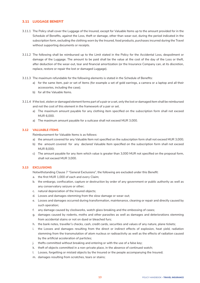# **3.11 LUGGAGE BENEFIT**

- 3.11.1 The Policy shall cover the Luggage of the Insured, except for Valuable Items up to the amount provided for in the Schedule of Benefits, against the Loss, theft or damage, other than wear-out, during the period indicated in the subscription form, excluding the clothing worn by the Insured, food products, purchases incurred during the Travel without supporting documents or receipts.
- 3.11.2 The following shall be reimbursed up to the Limit stated in the Policy for the Accidental Loss, despoilment or damage of the Luggage. The amount to be paid shall be the value at the cost of the day of the Loss or theft, after deduction of the wear-out, tear and financial amortization (or the Insurance Company can, at its discretion, replace, restore or repair the lost or damaged Luggage).
- 3.11.3 The maximum refundable for the following elements is stated in the Schedule of Benefits:
	- a) for the same item, pair or set of items (for example a set of gold earrings, a camera or a laptop and all their accessories, including the case);
	- b) for all the Valuable Items.
- 3.11.4 If the lost, stolen or damaged element forms part of a pair or a set, only the lost or damaged item shall be reimbursed and not the cost of this element in the framework of a pair or set.
	- a) The maximum amount payable for any clothing item specified on the subscription form shall not exceed MUR 6,000.
	- a) The maximum amount payable for a suitcase shall not exceed MUR 3,000.

#### **3.12 VALUABLE ITEMS**

Reimbursement for Valuable Items is as follows:

- a) the amount covered for any Valuable Item not specified on the subscription form shall not exceed MUR 3,000;
- b) the amount covered for any declared Valuable Item specified on the subscription form shall not exceed MUR 8,000;
- c) The amount payable for any item which value is greater than 3,000 MUR not specified on the proposal form, shall not exceed MUR 3,000.

#### **3.13 EXCLUSIONS**

Notwithstanding Clause 7 "General Exclusions", the following are excluded under this Benefit:

- a. the first MUR 1,000 of each and every Claim;
- b. the embargo, confiscation, capture or destruction by order of any government or public authority as well as any conservatory seizure or other;
- c. natural depreciation of the Insured objects;
- d. Losses and damages stemming from the slow damage or wear-out;
- e. Losses and damages occurred during transformation, maintenance, cleaning or repair and directly caused by such operation;
- f. any damage caused by clockworks, watch glass breaking and the embossing of cases;
- g. damages caused by rodents, moths and other parasites as well as damages and deteriorations stemming from accidental stains or not on dyed or bleached furs;
- h. the bank notes, traveller's checks, cash, credit cards, securities and values of any nature, plane tickets;
- i. the Losses and damages resulting from the direct or indirect effects of explosion, heat yield, radiation stemming from the transmutation of atom nucleus or radioactivity as well as the effects of radiation caused by the artificial acceleration of particles;
- j. thefts committed without breaking and entering or with the use of a false key;
- k. theft of objects committed in a non-private place, in the absence of continued watch;
- l. Losses, forgetting or mislaid objects by the Insured or the people accompanying the Insured;
- m. damages resulting from scratches, tears or stains;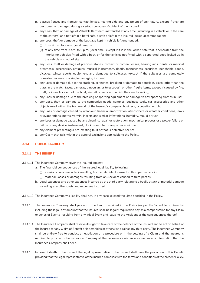- n. glasses (lenses and frames), contact lenses, hearing aids and equipment of any nature, except if they are destroyed or damaged during a serious corporeal Accident of the Insured;
- o. any Loss, theft or damage of Valuable Items left unattended at any time (including in a vehicle or in the care of the carriers) and not left in a hotel safe, a safe or left in the Insured locked accommodation;
- p. any Loss, theft or damage of the Luggage kept in vehicle left unattended:
	- (i) from 9 p.m. to 9 a.m. (local time); or
	- (ii) at any time from 9 a.m. to 9 p.m. (local time), except if it is in the locked safe that is separated from the interior for vehicles fitted with a boot, or for the vehicles not fitted with a separated boot, locked up in the vehicle and out of sight;
- q. any Loss, theft or damage of precious stones, contact or corneal lenses, hearing aids, dental or medical prosthesis, accessories, antiques, musical instruments, deeds, manuscripts, securities, perishable goods, bicycles, winter sports equipment and damages to suitcases (except if the suitcases are completely unusable because of a single damaging incident;
- r. any Loss or damage due to the cracking, scratches, breaking or damage to porcelain, glass (other than the glass in the watch faces, cameras, binoculars or telescopes), or other fragile items, except if caused by fire, theft, or in an Accident of the boat, aircraft or vehicle in which they are travelling;
- s. any Loss or damage due to the breaking of sporting equipment or damage to any sporting clothes in use;
- t. any Loss, theft or damage to the companies goods, samples, business tools, car accessories and other objects used within the framework of the Insured's company, business, occupation or job;
- u. any Loss or damage caused by wear-out, financial amortization, atmosphere or weather conditions, leaks or evaporations, moths, vermin, insects and similar infestations, humidity, mould or rust;
- v. any Loss or damage caused by any cleaning, repair or restoration, mechanical process or a power failure or failure of any device, instrument, clock, computer or any other equipment;
- w. any element presenting a pre-existing fault or that is defective per se;
- x. any Claim that falls within the general exclusions applicable to the Policy.

## **3.14 PUBLIC LIABILITY**

#### **3.14.1 THE BENEFIT**

- 3.14.1.1 The Insurance Company cover the Insured against:
	- a. The financial consequences of the Insured legal liability following:
		- (i) a serious corporeal attack resulting from an Accident caused to third parties; and/or
		- (i) material Losses or damages resulting from an Accident caused to third parties
	- b. Legal expenses and other expenses incurred by the third party relating to a bodily attack or material damage including any other costs and expenses incurred.
- 3.14.1.2 The Insurance Company's liability shall not, in any case, exceed the Limit specified in the Policy.
- 3.14.1.3 The Insurance Company shall pay up to the Limit prescribed in the Policy (as per the Schedule of Benefits) including the legal, any amount that the Insured shall be legally required to pay as a compensation for any Claim or series of Events resulting from any initial Event and causing the Accident or the consequences thereof
- 3.14.1.4 The Insurance Company shall reserve its right to take care of the defence of the Insured and to act on behalf of the Insured for any Claim of Benefit or indemnities or otherwise against any third party. The Insurance Company shall be entirely free to conduct a negotiation or a procedure or in the settling of a Claim and the Insured is required to provide to the Insurance Company all the necessary assistance as well as any information that the Insurance Company shall need.
- 3.14.1.5 In case of death of the Insured, the legal representative of the Insured shall have the protection of this Benefit provided that the legal representative of the Insured complies with the terms and conditions of the present Policy.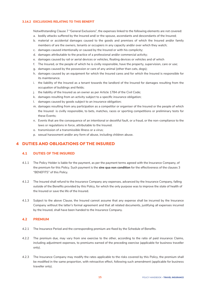#### **3.14.2 EXCLUSIONS RELATING TO THIS BENEFIT**

Notwithstanding Clause 7 "General Exclusions", the expenses linked to the following elements are not covered:

- a. bodily attacks suffered by the Insured and/ or the spouse, ascendants and descendants of the Insured;
- b. material or accidental damages caused to the goods and premises of which the Insured and/or family members of are the owners, tenants or occupiers in any capacity and/or over which they watch;
- c. damages caused intentionally or caused by the Insured or with his complicity;
- d. damages attributable to the practice of a professional and/or commercial activity;
- e. damages caused by rail or aerial devices or vehicles, floating devices or vehicles and of which
- f. The Insured, or the people of which he is civilly responsible, have the property, supervision, care or use;
- g. damages caused by the possession or care of any animal (other than cats, dogs);
- h. damages caused by an equipment for which the Insured cares and for which the Insured is responsible for its maintenance.
- i. the liability of the Insured as a tenant towards the landlord of the Insured for damages resulting from the occupation of buildings and fields;
- j. the liability of the Insured as an owner as per Article 1784 of the Civil Code;
- k. damages resulting from an activity subject to a specific insurance obligation;
- l. damages caused by goods subject to an insurance obligation;
- m. damages resulting from any participation as a competitor or organiser of the Insured or the people of which the Insured is civilly responsible, to bets, matches, races or sporting competitions or preliminary tests for these Events;
- n. Events that are the consequence of an intentional or deceitful fault, or a fraud, or the non-compliance to the laws or regulations in force, attributable to the Insured.
- o. transmission of a transmissible Illness or a virus;
- p. sexual harassment and/or any form of abuse, including children abuse.

# **4 DUTIES AND OBLIGATIONS OF THE INSURED**

# **4.1 DUTIES OF THE INSURED**

- 4.1.1 The Policy Holder is liable for the payment, as per the payment terms agreed with the Insurance Company, of the premium for this Policy. Such payment is the **sine qua non condition** for the effectiveness of the clauses 3 "BENEFITS" of this Policy.
- 4.1.2 The Insured shall refund to the Insurance Company any expenses, advanced by the Insurance Company, falling outside of the Benefits provided by this Policy, for which the only purpose was to improve the state of health of the Insured or save the life of the Insured.
- 4.1.3 Subject to the above Clause, the Insured cannot assume that any expense shall be incurred by the Insurance Company without the latter's formal agreement and that all related documents, justifying all expenses incurred by the Insured, shall have been handed to the Insurance Company.

# **4.2 PREMIUM**

- 4.2.1 The Insurance Period and the corresponding premium are fixed by the Schedule of Benefits.
- 4.2.2 The premium due, may vary from one exercise to the other, according to the ratio of paid insurance Claims, including adjustment expenses, to premiums earned of the preceding exercise (applicable for business traveller only).
- 4.2.3 The Insurance Company may modify the rates applicable to the risks covered by this Policy, the premium shall be modified in the same proportion, with retroactive effect, following such amendment (applicable for business traveller only).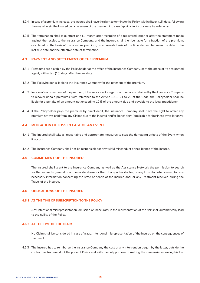- 4.2.4 In case of a premium increase, the Insured shall have the right to terminate the Policy within fifteen (15) days, following the one wherein the Insured became aware of the premium increase (applicable for business traveller only).
- 4.2.5 The termination shall take effect one (1) month after reception of a registered letter or after the statement made against the receipt to the Insurance Company, and the Insured shall then be liable for a fraction of the premium, calculated on the basis of the previous premium, on a pro-rata basis of the time elapsed between the date of the last due date and the effective date of termination.

#### **4.3 PAYMENT AND SETTLEMENT OF THE PREMIUM**

- 4.3.1 Premiums are payable by the Policyholder at the office of the Insurance Company, or at the office of its designated agent, within ten (10) days after the due date.
- 4.3.2 The Policyholder is liable to the Insurance Company for the payment of the premium.
- 4.3.3 In case of non-payment of the premium, if the services of a legal practitioner are retained by the Insurance Company to recover unpaid premiums, with reference to the Article 1983-21 to 23 of the Code, the Policyholder shall be liable for a penalty of an amount not exceeding 10% of the amount due and payable to the legal practitioner.
- 4.3.4 If the Policyholder pays the premium by direct debit, the Insurance Company shall have the right to offset any premium not yet paid from any Claims due to the Insured and/or Beneficiary (applicable for business traveller only).

#### **4.4 MITIGATION OF LOSS IN CASE OF AN EVENT**

- 4.4.1 The Insured shall take all reasonable and appropriate measures to stop the damaging effects of the Event when it occurs.
- 4.4.2 The Insurance Company shall not be responsible for any wilful misconduct or negligence of the Insured.

#### **4.5 COMMITMENT OF THE INSURED**

 The Insured shall grant to the Insurance Company as well as the Assistance Network the permission to search for the Insured's general practitioner database, or that of any other doctor, or any Hospital whatsoever, for any necessary information concerning the state of health of the Insured and/ or any Treatment received during the Travel of the Insured.

#### **4.6 OBLIGATIONS OF THE INSURED**

#### **4.6.1 AT THE TIME OF SUBSCRIPTION TO THE POLICY**

 Any intentional misrepresentation, omission or inaccuracy in the representation of the risk shall automatically lead to the nullity of the Policy.

## **4.6.2 AT THE TIME OF THE CLAIM**

 No Claim shall be considered in case of fraud, intentional misrepresentation of the Insured on the consequences of the Event.

4.6.3 The Insured has to reimburse the Insurance Company the cost of any intervention begun by the latter, outside the contractual framework of the present Policy and with the only purpose of making the cure easier or saving his life.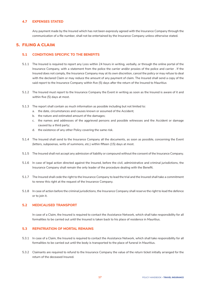# **4.7 EXPENSES STATED**

 Any payment made by the Insured which has not been expressly agreed with the Insurance Company through the communication of a file number, shall not be entertained by the Insurance Company unless otherwise stated.

# **5. FILING A CLAIM**

# **5.1 CONDITIONS SPECIFIC TO THE BENEFITS**

- 5.1.1 The Insured is required to report any Loss within 24 hours in writing, verbally, or through the online portal of the Insurance Company, with a statement from the police the carrier and/or proxies of the police and carrier . If the Insured does not comply, the Insurance Company may at its own discretion, cancel the policy or may refuse to deal with the declared Claim or may reduce the amount of any payment of claim. The Insured shall send a copy of the said report to the Insurance Company within five (5) days after the return of the Insured to Mauritius
- 5.1.2 The Insured must report to the Insurance Company the Event in writing as soon as the Insured is aware of it and within five (5) days at most.
- 5.1.3 The report shall contain as much information as possible including but not limited to:
	- a. the date, circumstances and causes known or assumed of the Accident;
	- b. the nature and estimated amount of the damages;
	- c. the names and addresses of the aggrieved persons and possible witnesses and the Accident or damage caused by a third party;
	- d. the existence of any other Policy covering the same risk.
- 5.1.4 The Insured shall send to the Insurance Company all the documents, as soon as possible, concerning the Event (letters, subpoenas, writs of summons, etc.) within fifteen (15) days at most.
- 5.1.5 The Insured shall not accept any admission of liability or compound without the consent of the Insurance Company.
- 5.1.6 In case of legal action directed against the Insured, before the civil, administrative and criminal jurisdictions, the Insurance Company shall remain the only leader of the procedure dealing with the Benefit.
- 5.1.7 The Insured shall cede the right to the Insurance Company to lead the trial and the Insured shall take a commitment to renew this right at the request of the Insurance Company.
- 5.1.8 In case of action before the criminal jurisdictions, the Insurance Company shall reserve the right to lead the defence or to join it.

# **5.2 MEDICALISED TRANSPORT**

 In case of a Claim, the Insured is required to contact the Assistance Network, which shall take responsibility for all formalities to be carried out until the Insured is taken back to his place of residence in Mauritius.

# **5.3 REPATRIATION OF MORTAL REMAINS**

- 5.3.1 In case of a Claim, the Insured is required to contact the Assistance Network, which shall take responsibility for all formalities to be carried out until the body is transported to the place of funeral in Mauritius.
- 5.3.2 Claimants are required to refund to the Insurance Company the value of the return ticket initially arranged for the return of the deceased Insured.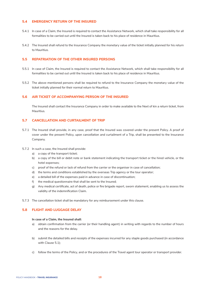# **5.4 EMERGENCY RETURN OF THE INSURED**

- 5.4.1 In case of a Claim, the Insured is required to contact the Assistance Network, which shall take responsibility for all formalities to be carried out until the Insured is taken back to his place of residence in Mauritius.
- 5.4.2 The Insured shall refund to the Insurance Company the monetary value of the ticket initially planned for his return to Mauritius.

#### **5.5 REPATRIATION OF THE OTHER INSURED PERSONS**

- 5.5.1 In case of Claim, the Insured is required to contact the Assistance Network, which shall take responsibility for all formalities to be carried out until the Insured is taken back to his place of residence in Mauritius.
- 5.5.2 The above-mentioned persons shall be required to refund to the Insurance Company the monetary value of the ticket initially planned for their normal return to Mauritius.

#### **5.6 AIR TICKET OF ACCOMPANYING PERSON OF THE INSURED**

 The Insured shall contact the Insurance Company in order to make available to the Next of kin a return ticket, from Mauritius.

# **5.7 CANCELLATION AND CURTAILMENT OF TRIP**

- 5.7.1 The Insured shall provide, in any case, proof that the Insured was covered under the present Policy. A proof of cover under the present Policy, upon cancellation and curtailment of a Trip, shall be presented to the Insurance Company.
- 5.7.2 In such a case, the Insured shall provide:
	- a) a copy of the transport ticket;
	- b) a copy of the bill or debit note or bank statement indicating the transport ticket or the hired vehicle, or the hotel expenses;
	- c) proof of the refund or lack of refund from the carrier or the organiser in case of cancellation;
	- d) the terms and conditions established by the overseas Trip agency or the tour operator;
	- e) a detailed bill of the expenses paid in advance in case of discontinuation;
	- f) the medical questionnaire that shall be sent to the Insured;
	- g) Any medical certificate, act of death, police or fire brigade report, sworn statement, enabling us to assess the validity of the indemnification Claim.
- 5.7.3 The cancellation ticket shall be mandatory for any reimbursement under this clause.

# **5.8 FLIGHT AND LUGGAGE DELAY**

#### **In case of a Claim, the Insured shall:**

- a) obtain confirmation from the carrier (or their handling agent) in writing with regards to the number of hours and the reasons for the delay.
- b) submit the detailed bills and receipts of the expenses incurred for any staple goods purchased (in accordance with Clause 5.1);
- c) follow the terms of the Policy, and or the procedures of the Travel agent tour operator or transport provider.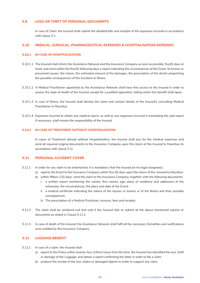# **5.9 LOSS OR THEFT OF PERSONAL DOCUMENTS**

 In case of Claim, the Insured shall submit the detailed bills and receipts of the expenses incurred in accordance with clause 5.1.

## **5.10 MEDICAL, SURGICAL, PHARMACEUTICAL EXPENSES & HOSPITALISATION EXPENSES**

#### **5.10.1 IN CASE OF HOSPITALISATION:**

- 5.10.1.1 The Insured shall inform the Assistance Network and the Insurance Company as soon as possible, five(5) days at most, and send within the five(5) following days a report indicating the circumstances of the Event, its known or presumed causes, the nature, the estimated amount of the damages, the prescription of the doctor pinpointing the possible consequences of the Accident or Illness.
- 5.10.1.2 A Medical Practitioner appointed by the Assistance Network shall have free access to the Insured in order to assess the state of health of the Insured, except for a justified opposition, failing which this benefit shall lapse.
- 5.10.1.3 In case of Illness, the Insured shall declare the name and contact details of the Insured's consulting Medical Practitioner in Mauritius.
- 5.10.1.4 Expenses incurred to obtain any medical report, as well as any expenses incurred in translating the said report if necessary, shall remain the responsibility of the Insured.

#### **5.10.2 IN CASE OF TREATMENT WITHOUT HOSPITALISATION:**

 In cases of Treatment abroad without Hospitalisation, the Insured shall pay for the medical expenses and send all required original documents to the Insurance Company upon the return of the Insured to Mauritius (in accordance with clause 5.1).

#### **5.11 PERSONAL ACCIDENT COVER**

- 5.11.1 In order for any claim to be entertained, it is mandatory that the Insured (or his legal assignees):
	- a) reports the Event to the Insurance Company within five (5) days upon the return of the Insured to Mauritius.
	- b) within fifteen (15) days, send the claim to the Insurance Company, together with the following documents: i. a written report mentioning the names, first names, age, place of residence and addresses of the witnesses, the circumstances, the place and date of the Event;
		- ii. a medical certificate indicating the nature of the injuries or lesions or of the Illness and their possible consequences;
		- iii. The prescription of a Medical Practioner, invoices, fees and receipts.
- 5.11.2 The claim shall be rendered null and void if the Insured fails to submit all the above mentioned reports or documents as stated in Clause 5.11.1
- 5.11.3 In case of death of the Insured, the Assistance Network shall fulfil all the necessary formalities and verifications once notified by the Insurance Company

# **5.12 LUGGAGE BENEFIT**

- 5.12.1 In case of a claim, the Insured shall :
	- a) report to the Police within twenty-four (24hrs) hours from the time the Insured has identified the loss, theft or damage of the Luggage; and obtain a report confirming the latter in order to file a claim.
	- b) produce the receipt of the lost, stolen or damaged objects in order to support any claim.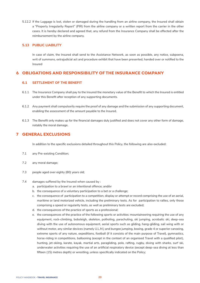5.12.2 If the Luggage is lost, stolen or damaged during the handling from an airline company, the Insured shall obtain a "Property Irregularity Report" (PIR) from the airline company or a written report from the carrier in the other cases. It is hereby declared and agreed that, any refund from the Insurance Company shall be effected after the reimbursement by the airline company.

## **5.13 PUBLIC LIABILITY**

 In case of claim, the Insured shall send to the Assistance Network, as soon as possible, any notice, subpoena, writ of summons, extrajudicial act and procedure exhibit that have been presented, handed over or notified to the Insured

# **6 OBLIGATIONS AND RESPONSIBILITY OF THE INSURANCE COMPANY**

# **6.1 SETTLEMENT OF THE BENEFIT**

- 6.1.1 The Insurance Company shall pay to the Insured the monetary value of the Benefit to which the Insured is entitled under this Benefit after reception of any supporting documents.
- 6.1.2 Any payment shall compulsorily require the proof of any damage and the submission of any supporting document, enabling the assessment of the amount payable to the Insured.
- 6.1.3 The Benefit only makes up for the financial damages duly justified and does not cover any other form of damage, notably the moral damage.

# **7 GENERAL EXCLUSIONS**

In addition to the specific exclusions detailed throughout this Policy, the following are also excluded:

- 7.1 any Pre-existing Condition;
- 7.2 any moral damage;
- 7.3 people aged over eighty (80) years old;
- 7.4 damages suffered by the Insured when caused by :
	- a. participation to a brawl or an intentional offence; and/or
	- b. the consequence of a voluntary participation to a bet or a challenge;
	- c. the consequence of participation to a competition, display or attempt or record comprising the use of an aerial, maritime or land motorized vehicle, including the preliminary tests. As for participation to rallies, only those comprising a speed or regularity tests, as well as preliminary tests are excluded;
	- d. the consequences of the practice of sports as a professional;
	- e. the consequences of the practice of the following sports or activities: mountaineering requiring the use of any equipment, rock-climbing, bobsleigh, skeleton, potholing, parachuting, ski jumping, acrobatic ski, deep-sea diving with the use of autonomous equipment, aerial sports such as gliding, hang-gliding, sail wing with or without motor, any similar devices (namely U.L.M,) and bungee jumping, boxing, grade 4 or superior canoeing, extreme sports of any nature, expeditions, football (if it consists of the main purpose of Travel), gymnastics, horse-riding in competitions, ballooning (except in the context of an organised Travel with a qualified pilot), hunting, jet-skiing, karate, kayak, martial arts, paragliding, polo, rafting, rugby, diving with sharks, surf ski, underwater activities requiring the use of an artificial respiratory device (except deep-sea diving at less than fifteen (15) metres depth) or wrestling, unless specifically indicated on the Policy;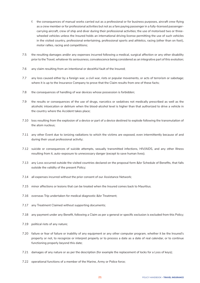- f. the consequences of manual works carried out as a professional or for business purposes, aircraft crew flying as a crew member or for professional activities but not as a fare paying passenger in a fully-licensed passengercarrying aircraft, crew of ship and diver during their professional activities; the use of motorised two or threewheeled vehicles unless the Insured holds an international driving license permitting the use of such vehicles in the visited country, professional entertaining, professional sports and athletics, racing (other than on foot), motor rallies, racing and competitions;
- 7.5 the resulting damages and/or any expenses incurred following a medical, surgical affection or any other disability prior to the Travel, whatever its seriousness, convalescence being considered as an integrative part of this evolution;
- 7.6 any claim resulting from an intentional or deceitful fault of the Insured;
- 7.7 any loss caused either by a foreign war, a civil war, riots or popular movements, or acts of terrorism or sabotage; where it is up to the Insurance Company to prove that the Claim results from one of these facts;
- 7.8 the consequences of handling of war devices whose possession is forbidden;
- 7.9 the results or consequences of the use of drugs, narcotics or sedatives not medically prescribed as well as the alcoholic intoxication or delirium when the blood-alcohol level is higher than that authorized to drive a vehicle in the country where the Accident takes place;
- 7.10 loss resulting from the explosion of a device or part of a device destined to explode following the transmutation of the atom nucleus;
- 7.11 any other Event due to ionizing radiations to which the victims are exposed, even intermittently because of and during their usual professional activity;
- 7.12 suicide or consequences of suicide attempts, sexually transmitted infections, HIV/AIDS, and any other Illness resulting from it, auto-exposure to unnecessary danger (except to save human lives);
- 7.13 any Loss occurred outside the visited countries declared on the proposal form &/or Schedule of Benefits, that falls outside the validity of the present Policy;
- 7.14 all expenses incurred without the prior consent of our Assistance Network;
- 7.15 minor affections or lesions that can be treated when the Insured comes back to Mauritius.
- 7.16 overseas Trip undertaken for medical diagnostic &/or Treatment;
- 7.17 any Treatment Claimed without supporting documents;
- 7.18 any payment under any Benefit, following a Claim as per a general or specific exclusion is excluded from this Policy;
- 7.19 political riots of any nature;
- 7.20 failure or fear of failure or inability of any equipment or any other computer program, whether it be the Insured's property or not, to recognize or interpret properly or to process a date as a date of real calendar, or to continue functioning properly beyond this date;
- 7.21 damages of any nature or as per the description (for example the replacement of locks for a Loss of keys);
- 7.22 operational functions of a member of the Marine, Army or Police force;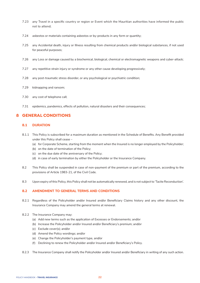- 7.23 any Travel in a specific country or region or Event which the Mauritian authorities have informed the public not to attend;
- 7.24 asbestos or materials containing asbestos or by-products in any form or quantity;
- 7.25 any Accidental death, injury or Illness resulting from chemical products and/or biological substances, if not used for peaceful purposes;
- 7.26 any Loss or damage caused by a biochemical, biological, chemical or electromagnetic weapons and cyber-attack;
- 7.27 any repetitive strain injury or syndrome or any other cause developing progressively;
- 7.28 any post-traumatic stress disorder, or any psychological or psychiatric condition;
- 7.29 kidnapping and ransom;
- 7.30 any cost of telephone call;
- 7.31 epidemics, pandemics, effects of pollution, natural disasters and their consequences;

# **8 GENERAL CONDITIONS**

# **8.1 DURATION**

- 8.1.1 This Policy is subscribed for a maximum duration as mentioned in the Schedule of Benefits. Any Benefit provided under this Policy shall cease –
	- (a) for Corporate Scheme, starting from the moment when the Insured is no longer employed by the Policyholder;
	- (b) on the date of termination of the Policy;
	- (c) on the due date of the anniversary of the Policy;
	- (d) in case of early termination by either the Policyholder or the Insurance Company.
- 8.2 This Policy shall be suspended in case of non-payment of the premium or part of the premium, according to the provisions of Article 1983-21, of the Civil Code.
- 8.3 Upon expiry of this Policy, this Policy shall not be automatically renewed, and is not subject to 'Tacite Reconduction'.

#### **8.2 AMENDMENT TO GENERAL TERMS AND CONDITIONS**

- 8.2.1 Regardless of the Policyholder and/or Insured and/or Beneficiary Claims history and any other discount, the Insurance Company may amend the general terms at renewal.
- 8.2.2 The Insurance Company may:
	- (a) Add new terms such as the application of Excesses or Endorsements; and/or
	- (b) Increase the Policyholder and/or Insured and/or Beneficiary's premium; and/or
	- (c) Exclude cover(s); and/or
	- (d) Amend the Policy wordings; and/or
	- (e) Change the Policyholder's payment type, and/or
	- (f) Declining to renew the Policyholder and/or Insured and/or Beneficiary's Policy.
- 8.2.3 The Insurance Company shall notify the Policyholder and/or Insured and/or Beneficiary in writing of any such action.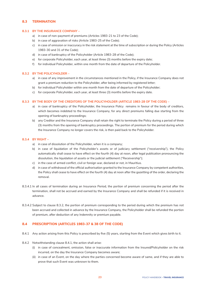# **8.3 TERMINATION**

#### **8.3.1 BY THE INSURANCE COMPANY –**

- a) in case of non-payment of premiums (Articles 1983-21 to 23 of the Code);
- b) in case of aggravation of risks (Article 1983-25 of the Code);
- c) in case of omission or inaccuracy in the risk statement at the time of subscription or during the Policy (Articles 1983-30 and 31 of the Code);
- d) in case of bankruptcy of the Policyholder (Article 1983-28 of the Code);
- e) for corporate Policyholder, each year, at least three (3) months before the expiry date;
- f) for individual Policyholder, within one month from the date of departure of the Policyholder.

#### **8.3.2 BY THE POLICYHOLDER –**

- a) in case of any improvement in the circumstances mentioned in the Policy, if the Insurance Company does not grant a premium reduction to the Policyholder, after being informed by registered letter;
- b) for individual Policyholder within one month from the date of departure of the Policyholder;
- c) for corporate Policyholder, each year, at least three (3) months before the expiry date.

#### **8.3.3 BY THE BODY OF THE CREDITORS OF THE POLICYHOLDER (ARTICLE 1983-28 OF THE CODE) –**

- a) in case of bankruptcy of the Policyholder, the Insurance Policy remains in favour of the body of creditors, which becomes indebted to the Insurance Company, for any direct premiums falling due starting from the opening of bankruptcy proceedings;
- b) any Creditor and the Insurance Company shall retain the right to terminate the Policy during a period of three (3) months from the opening of bankruptcy proceedings. The portion of premium for the period during which the Insurance Company no longer covers the risk, is then paid back to the Policyholder.

#### **8.3.4 BY RIGHT –**

- a) in case of dissolution of the Policyholder, when it is a company;
- b) in case of liquidation of the Policyholder's assets or of judiciary settlement ("receivership"), the Policy automatically shall cease to have effect on the fourth (4) day at noon, after legal publication pronouncing the dissolution, the liquidation of assets or the judicial settlement ("Receivership");
- c) in the case of armed conflict, civil or foreign war, declared or not, in Mauritius.
- d) in case of withdrawal of the official authorisation granted to the Insurance Company by competent authorities, the Policy shall cease to have effect on the fourth (4) day at noon after the gazetting of the order, declaring the removal.
- 8.3.4.1 In all cases of termination during an Insurance Period, the portion of premium concerning the period after the termination, shall not be accrued and earned by the Insurance Company and shall be refunded if it is received in advance.
- 8.3.4.2 Subject to clause 8.3.2, the portion of premium corresponding to the period during which the premium has not been accrued and collected in advance by the Insurance Company, the Policyholder shall be refunded the portion of premium, after deduction of any Indemnity or premium payable.

## **8.4 PRESCRIPTION (ARTICLES 1983-37 & 38 OF THE CODE)**

- 8.4.1 Any action arising from this Policy is prescribed by five (5) years, starting from the Event which gives birth to it.
- 8.4.2 Notwithstanding clause 8.4.1, the action shall arise:
	- (i) in case of concealment, omission, false or inaccurate information from the Insured/Policyholder on the risk incurred, on the day the Insurance Company becomes aware;
	- (ii) in case of an Event, on the day where the parties concerned become aware of same, and if they are able to prove that such Event was unknown to them.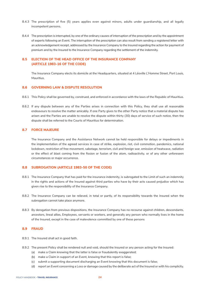- 8.4.3 The prescription of five (5) years applies even against minors, adults under guardianship, and all legally incompetent persons.
- 8.4.4 The prescription is interrupted, by one of the ordinary causes of interruption of the prescription and by the appointment of experts following an Event. The interruption of the prescription can also result from sending a registered letter with an acknowledgement receipt, addressed by the Insurance Company to the Insured regarding the action for payment of premium and by the Insured to the Insurance Company regarding the settlement of the indemnity.

# **8.5 ELECTION OF THE HEAD OFFICE OF THE INSURANCE COMPANY (ARTICLE 1983-16 OF THE CODE)**

The Insurance Company elects its domicile at the Headquarters, situated at 4 Léoville L'Homme Street, Port Louis, Mauritius.

#### **8.6 GOVERNING LAW & DISPUTE RESOLUTION**

- 8.6.1 This Policy shall be governed by, construed, and enforced in accordance with the laws of the Republic of Mauritius.
- 8.6.2 If any dispute between any of the Parties arises in connection with this Policy, they shall use all reasonable endeavours to resolve the matter amicably. If one Party gives to the other Party notice that a material dispute has arisen and the Parties are unable to resolve the dispute within thirty (30) days of service of such notice, then the dispute shall be referred to the Courts of Mauritius for determination.

#### **8.7 FORCE MAJEURE**

 The Insurance Company and the Assistance Network cannot be held responsible for delays or impediments in the implementation of the agreed services in case of strike, explosion, riot, civil commotion, pandemics, national lockdown, restriction of free movement, sabotage, terrorism, civil and foreign war, emission of heatwave, radiation or the effect of blast coming from the fission or fusion of the atom, radioactivity, or of any other unforeseen circumstances or major occurrence.

#### **8.8 SUBROGATION (ARTICLE 1983-50 OF THE CODE)**

- 8.8.1 The Insurance Company that has paid for the insurance indemnity, is subrogated to the Limit of such an indemnity in the rights and actions of the Insured against third parties who have by their acts caused prejudice which has given rise to the responsibility of the Insurance Company.
- 8.8.2 The Insurance Company can be relieved, in total or partly, of its responsibility towards the Insured when the subrogation cannot take place anymore.
- 8.8.3 By derogation from previous dispositions, the Insurance Company has no recourse against children, descendants, ancestors, lineal allies, Employees, servants or workers, and generally any person who normally lives in the home of the Insured, except in the case of malevolence committed by one of these persons

#### **8.9 FRAUD**

- 8.9.1 The Insured shall act in good faith.
- 8.9.2 The present Policy shall be rendered null and void, should the Insured or any person acting for the Insured:
	- (a) make a Claim knowing that the latter is false or fraudulently exaggerated;
		- (b) make a Claim in support of an Event, knowing that this report is false;
		- (c) submit a supporting document discharging an Event knowing that this document is false;
		- (d) report an Event concerning a Loss or damage caused by the deliberate act of the Insured or with his complicity.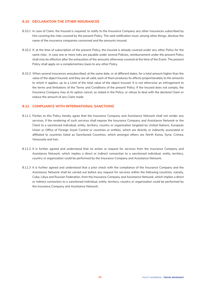# **8.10 DECLARATION THE OTHER INSURANCES**

- 8.10.1 In case of Claim, the Insured is required, to notify to the Insurance Company any other insurances subscribed by him covering the risks covered by the present Policy. The said notification must, among other things, disclose the name of the insurance companies concerned and the amounts insured.
- 8.10.2 If, at the time of subscription of the present Policy, the Insured is already covered under any other Policy for the same risks, in case one or more risks are payable under several Policies, reimbursement under the present Policy shall only be effective after the exhaustion of the amounts otherwise covered at the time of the Event. The present Policy shall apply on a complementary basis to any other Policy.
- 8.10.3 When several insurances aresubscribed, at the same date, or at different dates, for a total amount higher than the value of the object Insured, and they are all valid, each of them produces its effects proportionately to the amounts to which it applies, up to a Limit of the total value of the object Insured. It is not otherwise an infringement to the terms and limitations of the Terms and Conditions of the present Policy. If the Insured does not comply, the Insurance Company may at its option cancel, as stated in the Policy, or refuse to deal with the declared Claim or reduce the amount of any Claim made

# **8.11 COMPLIANCE WITH INTERNATIONAL SANCTIONS**

- 8.11.1 Parties to this Policy hereby agree that the Insurance Company and Assistance Network shall not render any services, if the rendering of such services shall expose the Insurance Company and Assistance Network or the Client to a sanctioned individual, entity, territory, country or organization targeted by United Nations, European Union or Office of Foreign Asset Control or countries or entities, which are directly or indirectly associated or affiliated to countries listed as Sanctioned Countries, which amongst others are North Korea, Syria, Crimea, Venezuela and Iran.
- 8.11.2 It is further agreed and understood that no action or request for services from the Insurance Company and Assistance Network, which implies a direct or indirect connection to a sanctioned individual, entity, territory, country or organization could be performed by the Insurance Company and Assistance Network.
- 8.11.3 It is further agreed and understood that a prior check with the compliance of the Insurance Company and the Assistance Network shall be carried out before any request for services within the following countries, namely, Cuba, Libya and Russian Federation, from the Insurance Company and Assistance Network, which implies a direct or indirect connection to a sanctioned individual, entity, territory, country or organization could be performed by the Insurance Company and Assistance Network.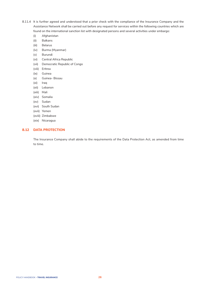- 8.11.4 It is further agreed and understood that a prior check with the compliance of the Insurance Company and the Assistance Network shall be carried out before any request for services within the following countries which are found on the international sanction list with designated persons and several activities under embargo:
	- (i) Afghanistan
	- (ii) Balkans
	- (iii) Belarus
	- (iv) Burma (Myanmar)
	- (v) Burundi
	- (vi) Central Africa Republic
	- (vii) Democratic Republic of Congo
	- (viii) Eritrea
	- (ix) Guinea
	- (x) Guinea- Bissau
	- (xi) Iraq
	- (xii) Lebanon
	- (xiii) Mali
	- (xiv) Somalia
	- (xv) Sudan
	- (xvi) South Sudan
	- (xvii) Yemen
	- (xviii) Zimbabwe
	- (xix) Nicaragua

# **8.12 DATA PROTECTION**

 The Insurance Company shall abide to the requirements of the Data Protection Act, as amended from time to time.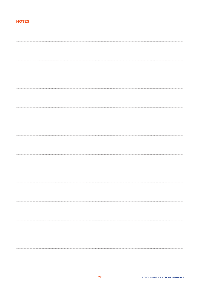# **NOTES**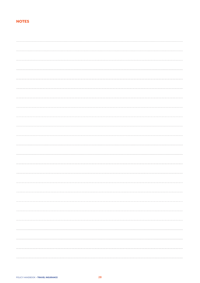# **NOTES**